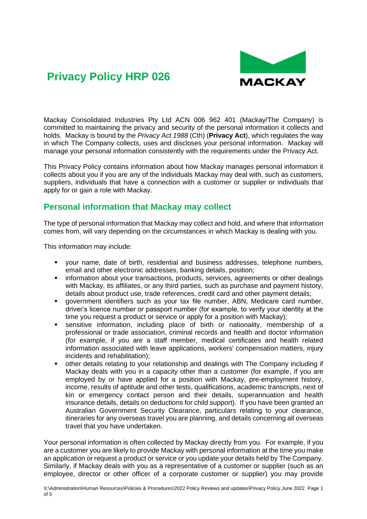

Mackay Consolidated Industries Pty Ltd ACN 006 962 401 (Mackay/The Company) is committed to maintaining the privacy and security of the personal information it collects and holds. Mackay is bound by the *Privacy Act 1988* (Cth) (**Privacy Act**), which regulates the way in which The Company collects, uses and discloses your personal information. Mackay will manage your personal information consistently with the requirements under the Privacy Act.

This Privacy Policy contains information about how Mackay manages personal information it collects about you if you are any of the individuals Mackay may deal with, such as customers, suppliers, individuals that have a connection with a customer or supplier or individuals that apply for or gain a role with Mackay.

### **Personal information that Mackay may collect**

The type of personal information that Mackay may collect and hold, and where that information comes from, will vary depending on the circumstances in which Mackay is dealing with you.

This information may include:

- your name, date of birth, residential and business addresses, telephone numbers, email and other electronic addresses, banking details, position;
- **•** information about your transactions, products, services, agreements or other dealings with Mackay, its affiliates, or any third parties, such as purchase and payment history, details about product use, trade references, credit card and other payment details;
- government identifiers such as your tax file number, ABN, Medicare card number, driver's licence number or passport number (for example, to verify your identity at the time you request a product or service or apply for a position with Mackay);
- sensitive information, including place of birth or nationality, membership of a professional or trade association, criminal records and health and doctor information (for example, if you are a staff member, medical certificates and health related information associated with leave applications, workers' compensation matters, injury incidents and rehabilitation);
- other details relating to your relationship and dealings with The Company including if Mackay deals with you in a capacity other than a customer (for example, if you are employed by or have applied for a position with Mackay, pre-employment history, income, results of aptitude and other tests, qualifications, academic transcripts, next of kin or emergency contact person and their details, superannuation and health insurance details, details on deductions for child support). If you have been granted an Australian Government Security Clearance, particulars relating to your clearance, itineraries for any overseas travel you are planning, and details concerning all overseas travel that you have undertaken.

Your personal information is often collected by Mackay directly from you. For example, if you are a customer you are likely to provide Mackay with personal information at the time you make an application or request a product or service or you update your details held by The Company. Similarly, if Mackay deals with you as a representative of a customer or supplier (such as an employee, director or other officer of a corporate customer or supplier) you may provide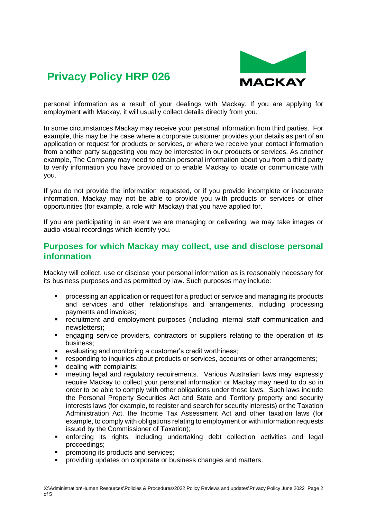

personal information as a result of your dealings with Mackay. If you are applying for employment with Mackay, it will usually collect details directly from you.

In some circumstances Mackay may receive your personal information from third parties. For example, this may be the case where a corporate customer provides your details as part of an application or request for products or services, or where we receive your contact information from another party suggesting you may be interested in our products or services. As another example, The Company may need to obtain personal information about you from a third party to verify information you have provided or to enable Mackay to locate or communicate with you.

If you do not provide the information requested, or if you provide incomplete or inaccurate information, Mackay may not be able to provide you with products or services or other opportunities (for example, a role with Mackay) that you have applied for.

If you are participating in an event we are managing or delivering, we may take images or audio-visual recordings which identify you.

#### **Purposes for which Mackay may collect, use and disclose personal information**

Mackay will collect, use or disclose your personal information as is reasonably necessary for its business purposes and as permitted by law. Such purposes may include:

- processing an application or request for a product or service and managing its products and services and other relationships and arrangements, including processing payments and invoices;
- recruitment and employment purposes (including internal staff communication and newsletters);
- **•** engaging service providers, contractors or suppliers relating to the operation of its business;
- evaluating and monitoring a customer's credit worthiness;
- **•** responding to inquiries about products or services, accounts or other arrangements;
- dealing with complaints:
- **EXED FIGELET And SET Alle Theory in the U.S. Follow FIGELET And Theory Expressly** require Mackay to collect your personal information or Mackay may need to do so in order to be able to comply with other obligations under those laws. Such laws include the Personal Property Securities Act and State and Territory property and security interests laws (for example, to register and search for security interests) or the Taxation Administration Act, the Income Tax Assessment Act and other taxation laws (for example, to comply with obligations relating to employment or with information requests issued by the Commissioner of Taxation);
- **EXECT** enforcing its rights, including undertaking debt collection activities and legal proceedings;
- promoting its products and services;
- providing updates on corporate or business changes and matters.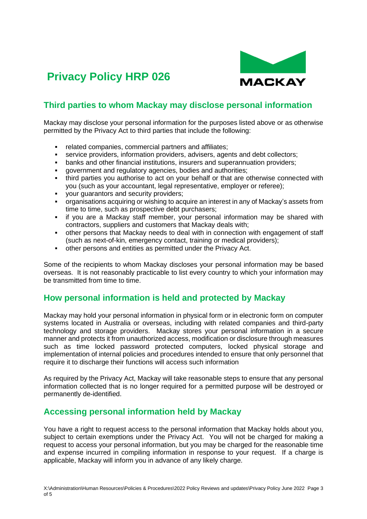



### **Third parties to whom Mackay may disclose personal information**

Mackay may disclose your personal information for the purposes listed above or as otherwise permitted by the Privacy Act to third parties that include the following:

- related companies, commercial partners and affiliates:
- **EXECT** service providers, information providers, advisers, agents and debt collectors;
- banks and other financial institutions, insurers and superannuation providers;
- government and regulatory agencies, bodies and authorities;
- third parties you authorise to act on your behalf or that are otherwise connected with you (such as your accountant, legal representative, employer or referee);
- your quarantors and security providers;
- organisations acquiring or wishing to acquire an interest in any of Mackay's assets from time to time, such as prospective debt purchasers;
- if you are a Mackay staff member, your personal information may be shared with contractors, suppliers and customers that Mackay deals with;
- other persons that Mackay needs to deal with in connection with engagement of staff (such as next-of-kin, emergency contact, training or medical providers);
- other persons and entities as permitted under the Privacy Act.

Some of the recipients to whom Mackay discloses your personal information may be based overseas. It is not reasonably practicable to list every country to which your information may be transmitted from time to time.

### **How personal information is held and protected by Mackay**

Mackay may hold your personal information in physical form or in electronic form on computer systems located in Australia or overseas, including with related companies and third-party technology and storage providers. Mackay stores your personal information in a secure manner and protects it from unauthorized access, modification or disclosure through measures such as time locked password protected computers, locked physical storage and implementation of internal policies and procedures intended to ensure that only personnel that require it to discharge their functions will access such information

As required by the Privacy Act, Mackay will take reasonable steps to ensure that any personal information collected that is no longer required for a permitted purpose will be destroyed or permanently de-identified.

#### **Accessing personal information held by Mackay**

You have a right to request access to the personal information that Mackay holds about you, subject to certain exemptions under the Privacy Act. You will not be charged for making a request to access your personal information, but you may be charged for the reasonable time and expense incurred in compiling information in response to your request. If a charge is applicable, Mackay will inform you in advance of any likely charge.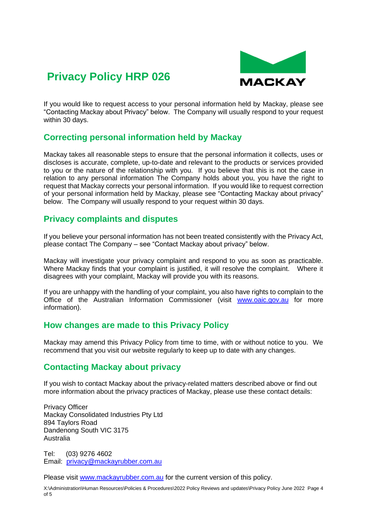

If you would like to request access to your personal information held by Mackay, please see "Contacting Mackay about Privacy" below. The Company will usually respond to your request within 30 days.

### **Correcting personal information held by Mackay**

Mackay takes all reasonable steps to ensure that the personal information it collects, uses or discloses is accurate, complete, up-to-date and relevant to the products or services provided to you or the nature of the relationship with you. If you believe that this is not the case in relation to any personal information The Company holds about you, you have the right to request that Mackay corrects your personal information. If you would like to request correction of your personal information held by Mackay, please see "Contacting Mackay about privacy" below. The Company will usually respond to your request within 30 days.

### **Privacy complaints and disputes**

If you believe your personal information has not been treated consistently with the Privacy Act, please contact The Company – see "Contact Mackay about privacy" below.

Mackay will investigate your privacy complaint and respond to you as soon as practicable. Where Mackay finds that your complaint is justified, it will resolve the complaint. Where it disagrees with your complaint, Mackay will provide you with its reasons.

If you are unhappy with the handling of your complaint, you also have rights to complain to the Office of the Australian Information Commissioner (visit [www.oaic.gov.au](http://www.oaic.gov.au/) for more information).

### **How changes are made to this Privacy Policy**

Mackay may amend this Privacy Policy from time to time, with or without notice to you. We recommend that you visit our website regularly to keep up to date with any changes.

### **Contacting Mackay about privacy**

If you wish to contact Mackay about the privacy-related matters described above or find out more information about the privacy practices of Mackay, please use these contact details:

Privacy Officer Mackay Consolidated Industries Pty Ltd 894 Taylors Road Dandenong South VIC 3175 Australia

Tel: (03) 9276 4602 Email: [privacy@mackayrubber.com.au](mailto:privacy@mackayrubber.com.au)

Please visit [www.mackayrubber.com.au](http://www.mackayrubber.com.au/) for the current version of this policy.

X:\Administration\Human Resources\Policies & Procedures\2022 Policy Reviews and updates\Privacy Policy June 2022 Page 4 of 5